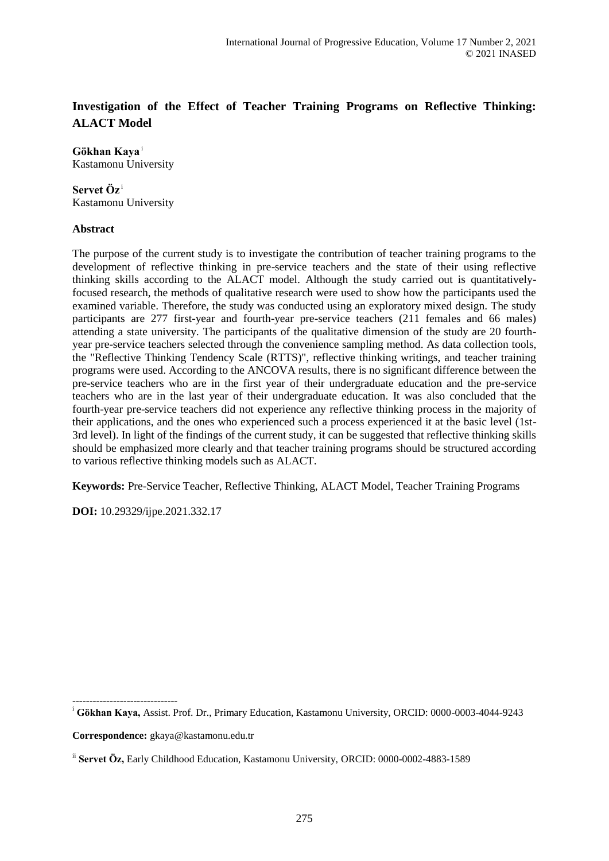# **Investigation of the Effect of Teacher Training Programs on Reflective Thinking: ALACT Model**

#### **Gökhan Kaya** <sup>i</sup> Kastamonu University

## **Servet Öz** <sup>i</sup> Kastamonu University

# **Abstract**

The purpose of the current study is to investigate the contribution of teacher training programs to the development of reflective thinking in pre-service teachers and the state of their using reflective thinking skills according to the ALACT model. Although the study carried out is quantitativelyfocused research, the methods of qualitative research were used to show how the participants used the examined variable. Therefore, the study was conducted using an exploratory mixed design. The study participants are 277 first-year and fourth-year pre-service teachers (211 females and 66 males) attending a state university. The participants of the qualitative dimension of the study are 20 fourthyear pre-service teachers selected through the convenience sampling method. As data collection tools, the "Reflective Thinking Tendency Scale (RTTS)", reflective thinking writings, and teacher training programs were used. According to the ANCOVA results, there is no significant difference between the pre-service teachers who are in the first year of their undergraduate education and the pre-service teachers who are in the last year of their undergraduate education. It was also concluded that the fourth-year pre-service teachers did not experience any reflective thinking process in the majority of their applications, and the ones who experienced such a process experienced it at the basic level (1st-3rd level). In light of the findings of the current study, it can be suggested that reflective thinking skills should be emphasized more clearly and that teacher training programs should be structured according to various reflective thinking models such as ALACT.

**Keywords:** Pre-Service Teacher, Reflective Thinking, ALACT Model, Teacher Training Programs

**DOI:** 10.29329/ijpe.2021.332.17

**Correspondence:** gkaya@kastamonu.edu.tr

-------------------------------

<sup>i</sup> **Gökhan Kaya,** Assist. Prof. Dr., Primary Education, Kastamonu University, ORCID: 0000-0003-4044-9243

ii **Servet Öz,** Early Childhood Education, Kastamonu University, ORCID: 0000-0002-4883-1589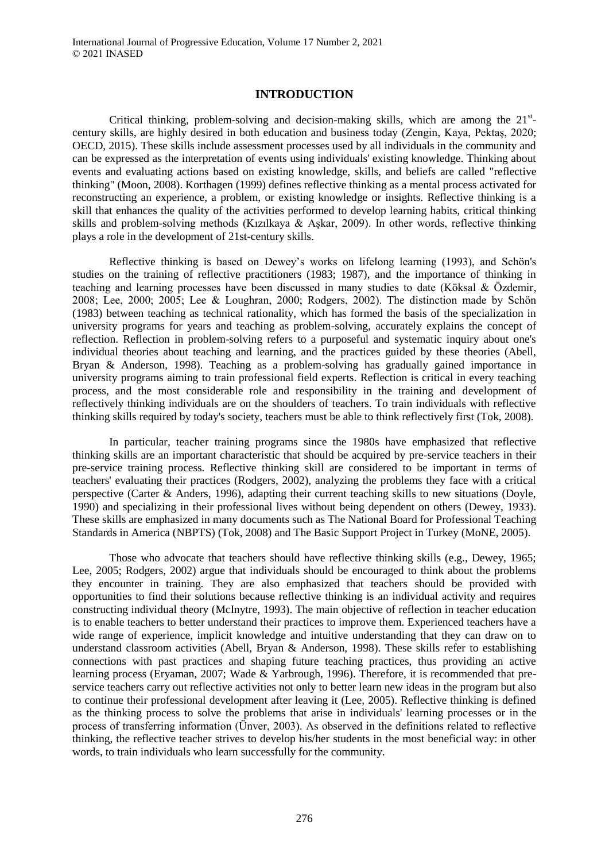## **INTRODUCTION**

Critical thinking, problem-solving and decision-making skills, which are among the  $21<sup>st</sup>$ century skills, are highly desired in both education and business today (Zengin, Kaya, Pektaş, 2020; OECD, 2015). These skills include assessment processes used by all individuals in the community and can be expressed as the interpretation of events using individuals' existing knowledge. Thinking about events and evaluating actions based on existing knowledge, skills, and beliefs are called "reflective thinking" (Moon, 2008). Korthagen (1999) defines reflective thinking as a mental process activated for reconstructing an experience, a problem, or existing knowledge or insights. Reflective thinking is a skill that enhances the quality of the activities performed to develop learning habits, critical thinking skills and problem-solving methods (Kızılkaya & Aşkar, 2009). In other words, reflective thinking plays a role in the development of 21st-century skills.

Reflective thinking is based on Dewey's works on lifelong learning (1993), and Schön's studies on the training of reflective practitioners (1983; 1987), and the importance of thinking in teaching and learning processes have been discussed in many studies to date (Köksal & Özdemir, 2008; Lee, 2000; 2005; Lee & Loughran, 2000; Rodgers, 2002). The distinction made by Schön (1983) between teaching as technical rationality, which has formed the basis of the specialization in university programs for years and teaching as problem-solving, accurately explains the concept of reflection. Reflection in problem-solving refers to a purposeful and systematic inquiry about one's individual theories about teaching and learning, and the practices guided by these theories (Abell, Bryan & Anderson, 1998). Teaching as a problem-solving has gradually gained importance in university programs aiming to train professional field experts. Reflection is critical in every teaching process, and the most considerable role and responsibility in the training and development of reflectively thinking individuals are on the shoulders of teachers. To train individuals with reflective thinking skills required by today's society, teachers must be able to think reflectively first (Tok, 2008).

In particular, teacher training programs since the 1980s have emphasized that reflective thinking skills are an important characteristic that should be acquired by pre-service teachers in their pre-service training process. Reflective thinking skill are considered to be important in terms of teachers' evaluating their practices (Rodgers, 2002), analyzing the problems they face with a critical perspective (Carter & Anders, 1996), adapting their current teaching skills to new situations (Doyle, 1990) and specializing in their professional lives without being dependent on others (Dewey, 1933). These skills are emphasized in many documents such as The National Board for Professional Teaching Standards in America (NBPTS) (Tok, 2008) and The Basic Support Project in Turkey (MoNE, 2005).

Those who advocate that teachers should have reflective thinking skills (e.g., Dewey, 1965; Lee, 2005; Rodgers, 2002) argue that individuals should be encouraged to think about the problems they encounter in training. They are also emphasized that teachers should be provided with opportunities to find their solutions because reflective thinking is an individual activity and requires constructing individual theory (McInytre, 1993). The main objective of reflection in teacher education is to enable teachers to better understand their practices to improve them. Experienced teachers have a wide range of experience, implicit knowledge and intuitive understanding that they can draw on to understand classroom activities (Abell, Bryan & Anderson, 1998). These skills refer to establishing connections with past practices and shaping future teaching practices, thus providing an active learning process (Eryaman, 2007; Wade & Yarbrough, 1996). Therefore, it is recommended that preservice teachers carry out reflective activities not only to better learn new ideas in the program but also to continue their professional development after leaving it (Lee, 2005). Reflective thinking is defined as the thinking process to solve the problems that arise in individuals' learning processes or in the process of transferring information (Ünver, 2003). As observed in the definitions related to reflective thinking, the reflective teacher strives to develop his/her students in the most beneficial way: in other words, to train individuals who learn successfully for the community.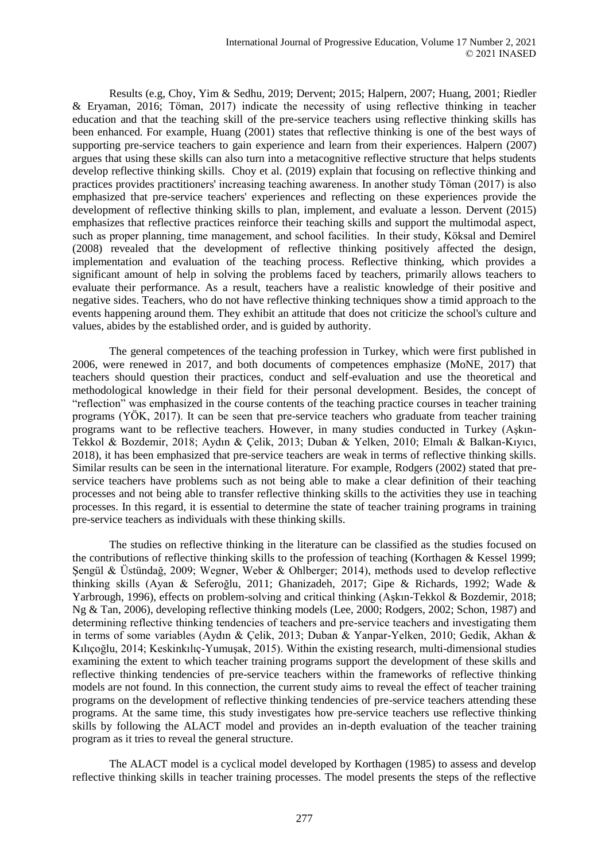Results (e.g, Choy, Yim & Sedhu, 2019; Dervent; 2015; Halpern, 2007; Huang, 2001; Riedler & Eryaman, 2016; Töman, 2017) indicate the necessity of using reflective thinking in teacher education and that the teaching skill of the pre-service teachers using reflective thinking skills has been enhanced. For example, Huang (2001) states that reflective thinking is one of the best ways of supporting pre-service teachers to gain experience and learn from their experiences. Halpern (2007) argues that using these skills can also turn into a metacognitive reflective structure that helps students develop reflective thinking skills. Choy et al. (2019) explain that focusing on reflective thinking and practices provides practitioners' increasing teaching awareness. In another study Töman (2017) is also emphasized that pre-service teachers' experiences and reflecting on these experiences provide the development of reflective thinking skills to plan, implement, and evaluate a lesson. Dervent (2015) emphasizes that reflective practices reinforce their teaching skills and support the multimodal aspect, such as proper planning, time management, and school facilities. In their study, Köksal and Demirel (2008) revealed that the development of reflective thinking positively affected the design, implementation and evaluation of the teaching process. Reflective thinking, which provides a significant amount of help in solving the problems faced by teachers, primarily allows teachers to evaluate their performance. As a result, teachers have a realistic knowledge of their positive and negative sides. Teachers, who do not have reflective thinking techniques show a timid approach to the events happening around them. They exhibit an attitude that does not criticize the school's culture and values, abides by the established order, and is guided by authority.

The general competences of the teaching profession in Turkey, which were first published in 2006, were renewed in 2017, and both documents of competences emphasize (MoNE, 2017) that teachers should question their practices, conduct and self-evaluation and use the theoretical and methodological knowledge in their field for their personal development. Besides, the concept of "reflection" was emphasized in the course contents of the teaching practice courses in teacher training programs (YÖK, 2017). It can be seen that pre-service teachers who graduate from teacher training programs want to be reflective teachers. However, in many studies conducted in Turkey (Aşkın-Tekkol & Bozdemir, 2018; Aydın & Çelik, 2013; Duban & Yelken, 2010; Elmalı & Balkan-Kıyıcı, 2018), it has been emphasized that pre-service teachers are weak in terms of reflective thinking skills. Similar results can be seen in the international literature. For example, Rodgers (2002) stated that preservice teachers have problems such as not being able to make a clear definition of their teaching processes and not being able to transfer reflective thinking skills to the activities they use in teaching processes. In this regard, it is essential to determine the state of teacher training programs in training pre-service teachers as individuals with these thinking skills.

The studies on reflective thinking in the literature can be classified as the studies focused on the contributions of reflective thinking skills to the profession of teaching (Korthagen & Kessel 1999; Şengül & Üstündağ, 2009; Wegner, Weber & Ohlberger; 2014), methods used to develop reflective thinking skills (Ayan & Seferoğlu, 2011; Ghanizadeh, 2017; Gipe & Richards, 1992; Wade & Yarbrough, 1996), effects on problem-solving and critical thinking (Aşkın-Tekkol & Bozdemir, 2018; Ng & Tan, 2006), developing reflective thinking models (Lee, 2000; Rodgers, 2002; Schon, 1987) and determining reflective thinking tendencies of teachers and pre-service teachers and investigating them in terms of some variables (Aydın & Çelik, 2013; Duban & Yanpar-Yelken, 2010; Gedik, Akhan & Kılıçoğlu, 2014; Keskinkılıç-Yumuşak, 2015). Within the existing research, multi-dimensional studies examining the extent to which teacher training programs support the development of these skills and reflective thinking tendencies of pre-service teachers within the frameworks of reflective thinking models are not found. In this connection, the current study aims to reveal the effect of teacher training programs on the development of reflective thinking tendencies of pre-service teachers attending these programs. At the same time, this study investigates how pre-service teachers use reflective thinking skills by following the ALACT model and provides an in-depth evaluation of the teacher training program as it tries to reveal the general structure.

The ALACT model is a cyclical model developed by Korthagen (1985) to assess and develop reflective thinking skills in teacher training processes. The model presents the steps of the reflective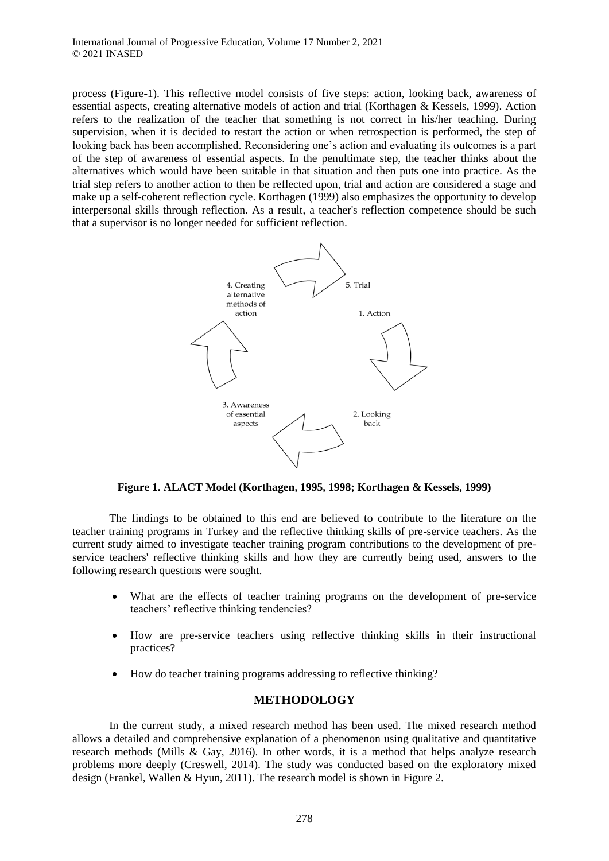process (Figure-1). This reflective model consists of five steps: action, looking back, awareness of essential aspects, creating alternative models of action and trial (Korthagen & Kessels, 1999). Action refers to the realization of the teacher that something is not correct in his/her teaching. During supervision, when it is decided to restart the action or when retrospection is performed, the step of looking back has been accomplished. Reconsidering one's action and evaluating its outcomes is a part of the step of awareness of essential aspects. In the penultimate step, the teacher thinks about the alternatives which would have been suitable in that situation and then puts one into practice. As the trial step refers to another action to then be reflected upon, trial and action are considered a stage and make up a self-coherent reflection cycle. Korthagen (1999) also emphasizes the opportunity to develop interpersonal skills through reflection. As a result, a teacher's reflection competence should be such that a supervisor is no longer needed for sufficient reflection.



**Figure 1. ALACT Model (Korthagen, 1995, 1998; Korthagen & Kessels, 1999)**

The findings to be obtained to this end are believed to contribute to the literature on the teacher training programs in Turkey and the reflective thinking skills of pre-service teachers. As the current study aimed to investigate teacher training program contributions to the development of preservice teachers' reflective thinking skills and how they are currently being used, answers to the following research questions were sought.

- What are the effects of teacher training programs on the development of pre-service teachers' reflective thinking tendencies?
- How are pre-service teachers using reflective thinking skills in their instructional practices?
- How do teacher training programs addressing to reflective thinking?

# **METHODOLOGY**

In the current study, a mixed research method has been used. The mixed research method allows a detailed and comprehensive explanation of a phenomenon using qualitative and quantitative research methods (Mills & Gay, 2016). In other words, it is a method that helps analyze research problems more deeply (Creswell, 2014). The study was conducted based on the exploratory mixed design (Frankel, Wallen & Hyun, 2011). The research model is shown in Figure 2.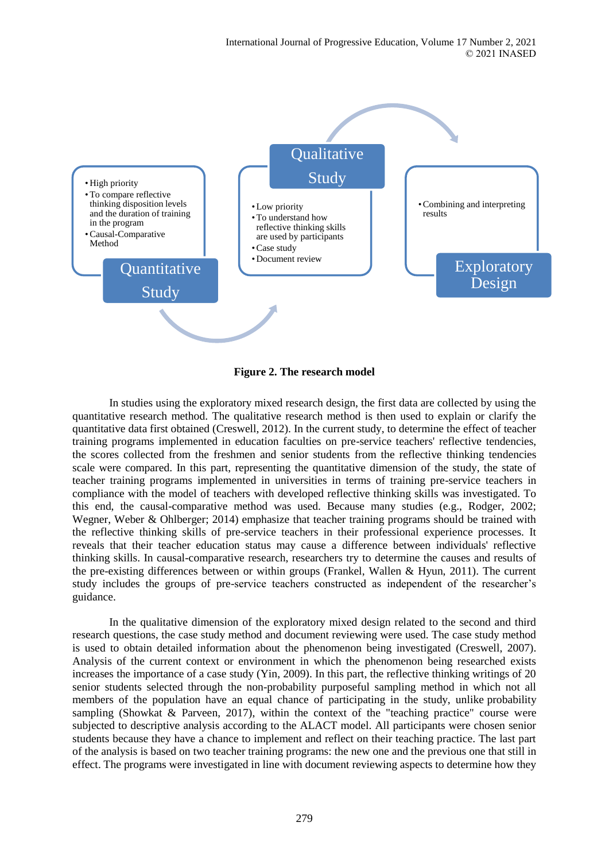

**Figure 2. The research model**

In studies using the exploratory mixed research design, the first data are collected by using the quantitative research method. The qualitative research method is then used to explain or clarify the quantitative data first obtained (Creswell, 2012). In the current study, to determine the effect of teacher training programs implemented in education faculties on pre-service teachers' reflective tendencies, the scores collected from the freshmen and senior students from the reflective thinking tendencies scale were compared. In this part, representing the quantitative dimension of the study, the state of teacher training programs implemented in universities in terms of training pre-service teachers in compliance with the model of teachers with developed reflective thinking skills was investigated. To this end, the causal-comparative method was used. Because many studies (e.g., Rodger, 2002; Wegner, Weber & Ohlberger; 2014) emphasize that teacher training programs should be trained with the reflective thinking skills of pre-service teachers in their professional experience processes. It reveals that their teacher education status may cause a difference between individuals' reflective thinking skills. In causal-comparative research, researchers try to determine the causes and results of the pre-existing differences between or within groups (Frankel, Wallen & Hyun, 2011). The current study includes the groups of pre-service teachers constructed as independent of the researcher's guidance.

In the qualitative dimension of the exploratory mixed design related to the second and third research questions, the case study method and document reviewing were used. The case study method is used to obtain detailed information about the phenomenon being investigated (Creswell, 2007). Analysis of the current context or environment in which the phenomenon being researched exists increases the importance of a case study (Yin, 2009). In this part, the reflective thinking writings of 20 senior students selected through the non-probability purposeful sampling method in which not all members of the population have an equal chance of participating in the study, unlike probability sampling (Showkat & Parveen, 2017), within the context of the "teaching practice" course were subjected to descriptive analysis according to the ALACT model. All participants were chosen senior students because they have a chance to implement and reflect on their teaching practice. The last part of the analysis is based on two teacher training programs: the new one and the previous one that still in effect. The programs were investigated in line with document reviewing aspects to determine how they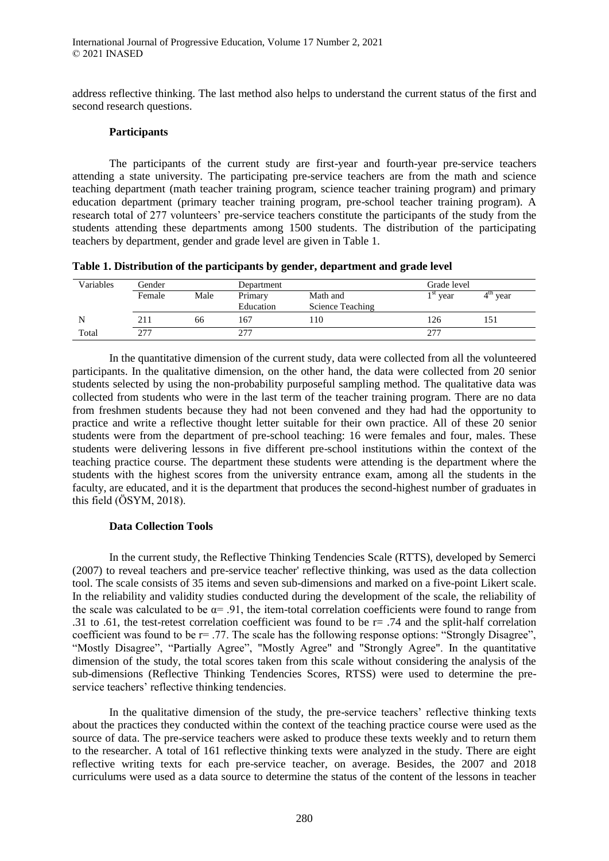address reflective thinking. The last method also helps to understand the current status of the first and second research questions.

## **Participants**

The participants of the current study are first-year and fourth-year pre-service teachers attending a state university. The participating pre-service teachers are from the math and science teaching department (math teacher training program, science teacher training program) and primary education department (primary teacher training program, pre-school teacher training program). A research total of 277 volunteers' pre-service teachers constitute the participants of the study from the students attending these departments among 1500 students. The distribution of the participating teachers by department, gender and grade level are given in Table 1.

| Table 1. Distribution of the participants by gender, department and grade level |  |
|---------------------------------------------------------------------------------|--|
|---------------------------------------------------------------------------------|--|

| Variables | Gender |      | Department |                  |                       | Grade level   |  |
|-----------|--------|------|------------|------------------|-----------------------|---------------|--|
|           | Female | Male | Primary    | Math and         | $\frac{1}{1}$ st year | 4 U.N<br>year |  |
|           |        |      | Education  | Science Teaching |                       |               |  |
| N         | 211    | 66   | 167        | 10               | 126                   |               |  |
| Total     | 277    |      | 277        |                  | 277                   |               |  |

In the quantitative dimension of the current study, data were collected from all the volunteered participants. In the qualitative dimension, on the other hand, the data were collected from 20 senior students selected by using the non-probability purposeful sampling method. The qualitative data was collected from students who were in the last term of the teacher training program. There are no data from freshmen students because they had not been convened and they had had the opportunity to practice and write a reflective thought letter suitable for their own practice. All of these 20 senior students were from the department of pre-school teaching: 16 were females and four, males. These students were delivering lessons in five different pre-school institutions within the context of the teaching practice course. The department these students were attending is the department where the students with the highest scores from the university entrance exam, among all the students in the faculty, are educated, and it is the department that produces the second-highest number of graduates in this field (ÖSYM, 2018).

## **Data Collection Tools**

In the current study, the Reflective Thinking Tendencies Scale (RTTS), developed by Semerci (2007) to reveal teachers and pre-service teacher' reflective thinking, was used as the data collection tool. The scale consists of 35 items and seven sub-dimensions and marked on a five-point Likert scale. In the reliability and validity studies conducted during the development of the scale, the reliability of the scale was calculated to be  $\alpha$ = .91, the item-total correlation coefficients were found to range from .31 to .61, the test-retest correlation coefficient was found to be r= .74 and the split-half correlation coefficient was found to be  $r = 0.77$ . The scale has the following response options: "Strongly Disagree", "Mostly Disagree", "Partially Agree", "Mostly Agree" and "Strongly Agree". In the quantitative dimension of the study, the total scores taken from this scale without considering the analysis of the sub-dimensions (Reflective Thinking Tendencies Scores, RTSS) were used to determine the preservice teachers' reflective thinking tendencies.

In the qualitative dimension of the study, the pre-service teachers' reflective thinking texts about the practices they conducted within the context of the teaching practice course were used as the source of data. The pre-service teachers were asked to produce these texts weekly and to return them to the researcher. A total of 161 reflective thinking texts were analyzed in the study. There are eight reflective writing texts for each pre-service teacher, on average. Besides, the 2007 and 2018 curriculums were used as a data source to determine the status of the content of the lessons in teacher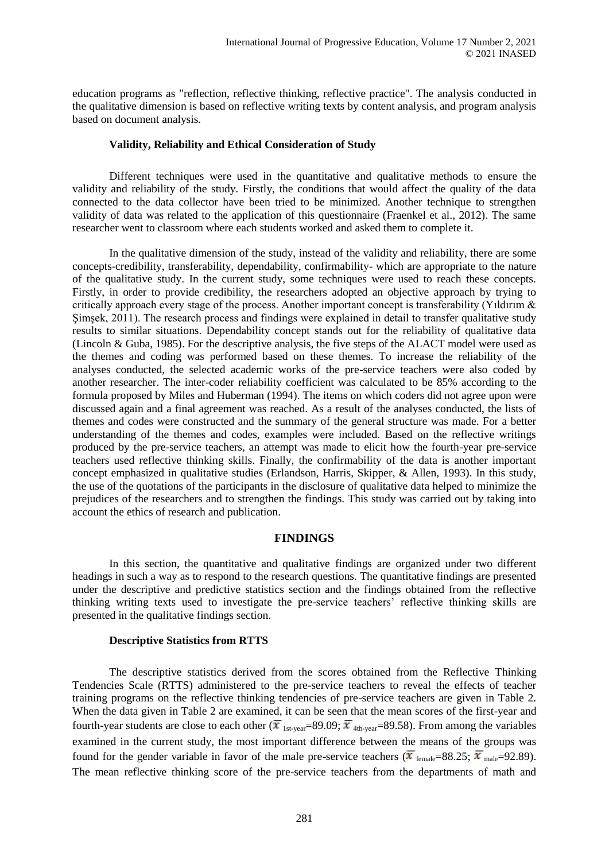education programs as "reflection, reflective thinking, reflective practice". The analysis conducted in the qualitative dimension is based on reflective writing texts by content analysis, and program analysis based on document analysis.

#### **Validity, Reliability and Ethical Consideration of Study**

Different techniques were used in the quantitative and qualitative methods to ensure the validity and reliability of the study. Firstly, the conditions that would affect the quality of the data connected to the data collector have been tried to be minimized. Another technique to strengthen validity of data was related to the application of this questionnaire (Fraenkel et al., 2012). The same researcher went to classroom where each students worked and asked them to complete it.

In the qualitative dimension of the study, instead of the validity and reliability, there are some concepts-credibility, transferability, dependability, confirmability- which are appropriate to the nature of the qualitative study. In the current study, some techniques were used to reach these concepts. Firstly, in order to provide credibility, the researchers adopted an objective approach by trying to critically approach every stage of the process. Another important concept is transferability (Yıldırım & Şimşek, 2011). The research process and findings were explained in detail to transfer qualitative study results to similar situations. Dependability concept stands out for the reliability of qualitative data (Lincoln & Guba, 1985). For the descriptive analysis, the five steps of the ALACT model were used as the themes and coding was performed based on these themes. To increase the reliability of the analyses conducted, the selected academic works of the pre-service teachers were also coded by another researcher. The inter-coder reliability coefficient was calculated to be 85% according to the formula proposed by Miles and Huberman (1994). The items on which coders did not agree upon were discussed again and a final agreement was reached. As a result of the analyses conducted, the lists of themes and codes were constructed and the summary of the general structure was made. For a better understanding of the themes and codes, examples were included. Based on the reflective writings produced by the pre-service teachers, an attempt was made to elicit how the fourth-year pre-service teachers used reflective thinking skills. Finally, the confirmability of the data is another important concept emphasized in qualitative studies (Erlandson, Harris, Skipper, & Allen, 1993). In this study, the use of the quotations of the participants in the disclosure of qualitative data helped to minimize the prejudices of the researchers and to strengthen the findings. This study was carried out by taking into account the ethics of research and publication.

## **FINDINGS**

In this section, the quantitative and qualitative findings are organized under two different headings in such a way as to respond to the research questions. The quantitative findings are presented under the descriptive and predictive statistics section and the findings obtained from the reflective thinking writing texts used to investigate the pre-service teachers' reflective thinking skills are presented in the qualitative findings section.

## **Descriptive Statistics from RTTS**

The descriptive statistics derived from the scores obtained from the Reflective Thinking Tendencies Scale (RTTS) administered to the pre-service teachers to reveal the effects of teacher training programs on the reflective thinking tendencies of pre-service teachers are given in Table 2. When the data given in Table 2 are examined, it can be seen that the mean scores of the first-year and fourth-year students are close to each other ( $\bar{x}_{1st-year}=89.09$ ;  $\bar{x}_{4th-year}=89.58$ ). From among the variables examined in the current study, the most important difference between the means of the groups was found for the gender variable in favor of the male pre-service teachers ( $\bar{x}_{\text{female}} = 88.25$ ;  $\bar{x}_{\text{male}} = 92.89$ ). The mean reflective thinking score of the pre-service teachers from the departments of math and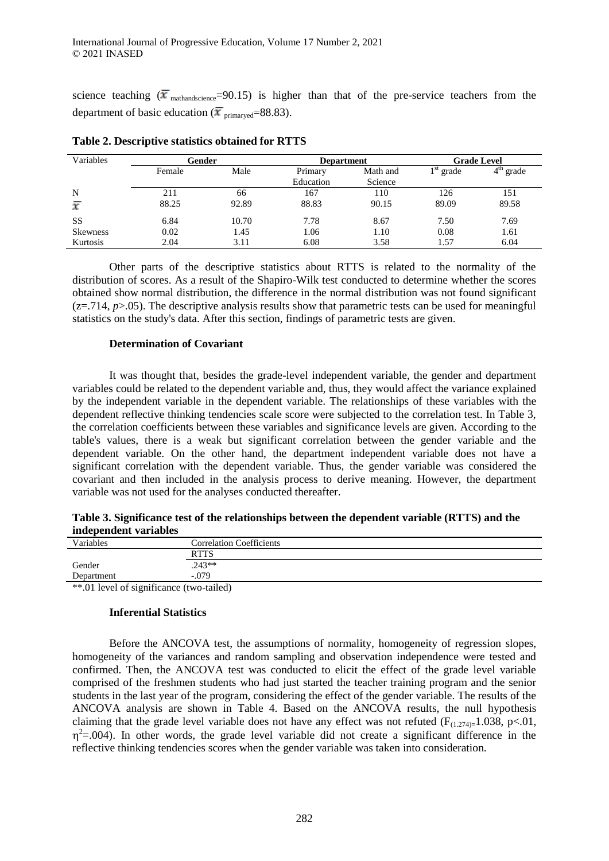science teaching  $(\bar{x}_{\text{mathascience}}=90.15)$  is higher than that of the pre-service teachers from the department of basic education ( $\bar{x}$ <sub>primaryed</sub>=88.83).

| Variables       | Gender |       | <b>Department</b>    |                     | <b>Grade Level</b> |                          |  |
|-----------------|--------|-------|----------------------|---------------------|--------------------|--------------------------|--|
|                 | Female | Male  | Primary<br>Education | Math and<br>Science | 1 st<br>grade      | 4 <sup>th</sup><br>grade |  |
| N               | 211    | 66    | 167                  | 110                 | 126                | 151                      |  |
| x               | 88.25  | 92.89 | 88.83                | 90.15               | 89.09              | 89.58                    |  |
| <b>SS</b>       | 6.84   | 10.70 | 7.78                 | 8.67                | 7.50               | 7.69                     |  |
| <b>Skewness</b> | 0.02   | 1.45  | 1.06                 | 1.10                | 0.08               | 1.61                     |  |
| Kurtosis        | 2.04   | 3.11  | 6.08                 | 3.58                | 1.57               | 6.04                     |  |

**Table 2. Descriptive statistics obtained for RTTS**

Other parts of the descriptive statistics about RTTS is related to the normality of the distribution of scores. As a result of the Shapiro-Wilk test conducted to determine whether the scores obtained show normal distribution, the difference in the normal distribution was not found significant  $(z=0.714, p>0.05)$ . The descriptive analysis results show that parametric tests can be used for meaningful statistics on the study's data. After this section, findings of parametric tests are given.

## **Determination of Covariant**

It was thought that, besides the grade-level independent variable, the gender and department variables could be related to the dependent variable and, thus, they would affect the variance explained by the independent variable in the dependent variable. The relationships of these variables with the dependent reflective thinking tendencies scale score were subjected to the correlation test. In Table 3, the correlation coefficients between these variables and significance levels are given. According to the table's values, there is a weak but significant correlation between the gender variable and the dependent variable. On the other hand, the department independent variable does not have a significant correlation with the dependent variable. Thus, the gender variable was considered the covariant and then included in the analysis process to derive meaning. However, the department variable was not used for the analyses conducted thereafter.

| Table 3. Significance test of the relationships between the dependent variable (RTTS) and the |  |
|-----------------------------------------------------------------------------------------------|--|
| independent variables                                                                         |  |

| Variables                                     | <b>Correlation Coefficients</b> |  |
|-----------------------------------------------|---------------------------------|--|
|                                               | <b>RTTS</b>                     |  |
| Gender                                        | $.243**$                        |  |
| Department                                    | $-.079$                         |  |
| $*$ and $\alpha$ of cignificance (two tailed) |                                 |  |

 $*$ .01 level of significance (two-tailed)

## **Inferential Statistics**

Before the ANCOVA test, the assumptions of normality, homogeneity of regression slopes, homogeneity of the variances and random sampling and observation independence were tested and confirmed. Then, the ANCOVA test was conducted to elicit the effect of the grade level variable comprised of the freshmen students who had just started the teacher training program and the senior students in the last year of the program, considering the effect of the gender variable. The results of the ANCOVA analysis are shown in Table 4. Based on the ANCOVA results, the null hypothesis claiming that the grade level variable does not have any effect was not refuted ( $F_{(1,274)=}1.038$ , p<.01,  $\eta^2$ =.004). In other words, the grade level variable did not create a significant difference in the reflective thinking tendencies scores when the gender variable was taken into consideration.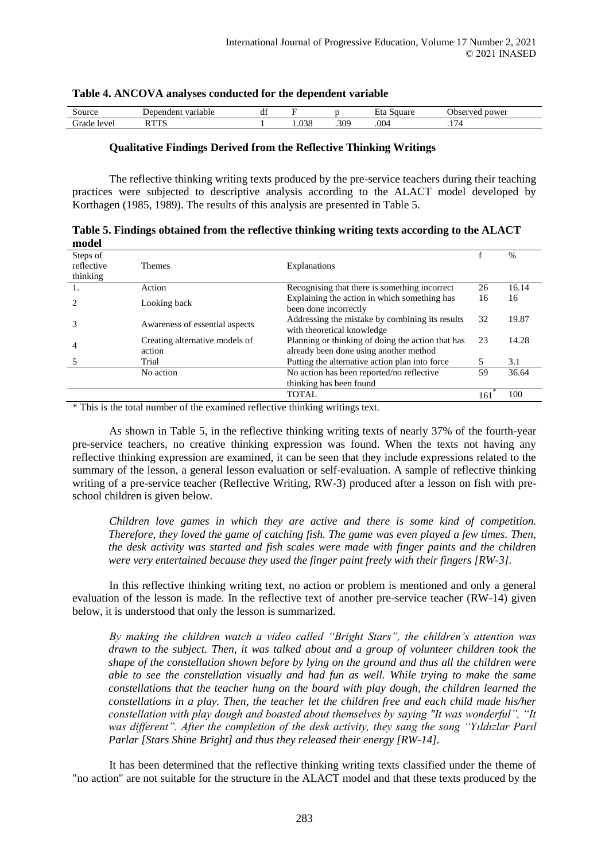| $.50$ ur $\epsilon$          | 701<br>16<br>-ет       | $\rightarrow$ $\sim$<br>--<br>u |                  |      |      | <b>The</b><br>nower<br>----- |  |
|------------------------------|------------------------|---------------------------------|------------------|------|------|------------------------------|--|
| $\sqrt{2}$<br>$^{\circ}$ ver | <b>D. 17756</b><br>. . |                                 | 000<br><b>PG</b> | .309 | .004 | $\overline{\phantom{a}}$     |  |
|                              |                        |                                 |                  |      |      |                              |  |

#### **Table 4. ANCOVA analyses conducted for the dependent variable**

## **Qualitative Findings Derived from the Reflective Thinking Writings**

The reflective thinking writing texts produced by the pre-service teachers during their teaching practices were subjected to descriptive analysis according to the ALACT model developed by Korthagen (1985, 1989). The results of this analysis are presented in Table 5.

| Table 5. Findings obtained from the reflective thinking writing texts according to the ALACT |  |
|----------------------------------------------------------------------------------------------|--|
| model                                                                                        |  |

| .          |                                |                                                   |     |               |
|------------|--------------------------------|---------------------------------------------------|-----|---------------|
| Steps of   |                                |                                                   |     | $\frac{0}{0}$ |
| reflective | <b>Themes</b>                  | Explanations                                      |     |               |
| thinking   |                                |                                                   |     |               |
|            | Action                         | Recognising that there is something incorrect.    | 26  | 16.14         |
|            | Looking back                   | Explaining the action in which something has      | 16  | 16            |
|            |                                | been done incorrectly                             |     |               |
| 3          | Awareness of essential aspects | Addressing the mistake by combining its results   | 32  | 19.87         |
|            |                                | with theoretical knowledge                        |     |               |
|            | Creating alternative models of | Planning or thinking of doing the action that has | 23  | 14.28         |
| 4          | action                         | already been done using another method            |     |               |
|            | Trial                          | Putting the alternative action plan into force.   |     | 3.1           |
|            | No action                      | No action has been reported/no reflective         | 59  | 36.64         |
|            |                                | thinking has been found                           |     |               |
|            |                                | <b>TOTAL</b>                                      | 161 | 100           |

\* This is the total number of the examined reflective thinking writings text.

As shown in Table 5, in the reflective thinking writing texts of nearly 37% of the fourth-year pre-service teachers, no creative thinking expression was found. When the texts not having any reflective thinking expression are examined, it can be seen that they include expressions related to the summary of the lesson, a general lesson evaluation or self-evaluation. A sample of reflective thinking writing of a pre-service teacher (Reflective Writing, RW-3) produced after a lesson on fish with preschool children is given below.

*Children love games in which they are active and there is some kind of competition. Therefore, they loved the game of catching fish. The game was even played a few times. Then, the desk activity was started and fish scales were made with finger paints and the children were very entertained because they used the finger paint freely with their fingers [RW-3].*

In this reflective thinking writing text, no action or problem is mentioned and only a general evaluation of the lesson is made. In the reflective text of another pre-service teacher (RW-14) given below, it is understood that only the lesson is summarized.

*By making the children watch a video called "Bright Stars", the children's attention was drawn to the subject. Then, it was talked about and a group of volunteer children took the shape of the constellation shown before by lying on the ground and thus all the children were able to see the constellation visually and had fun as well. While trying to make the same constellations that the teacher hung on the board with play dough, the children learned the constellations in a play. Then, the teacher let the children free and each child made his/her constellation with play dough and boasted about themselves by saying "It was wonderful", "It was different". After the completion of the desk activity, they sang the song "Yıldızlar Parıl Parlar [Stars Shine Bright] and thus they released their energy [RW-14].*

It has been determined that the reflective thinking writing texts classified under the theme of "no action" are not suitable for the structure in the ALACT model and that these texts produced by the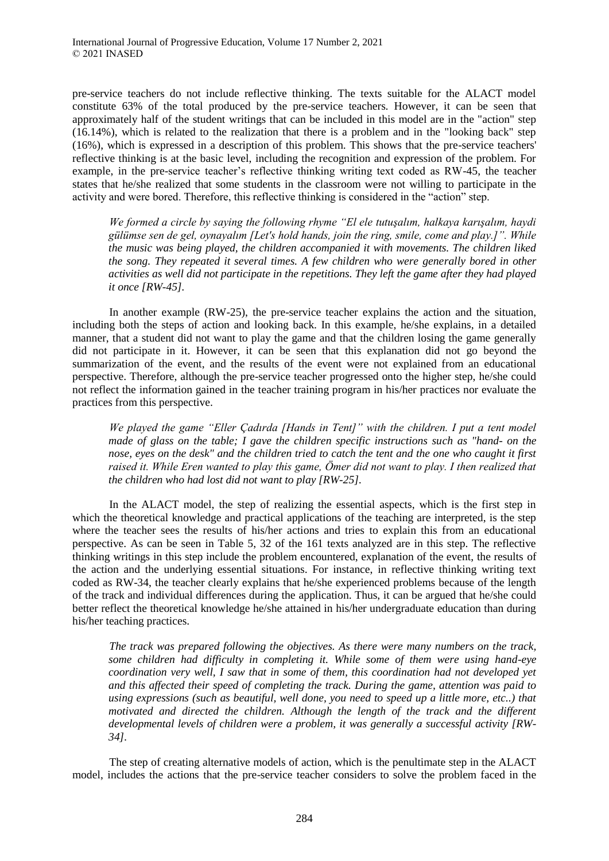pre-service teachers do not include reflective thinking. The texts suitable for the ALACT model constitute 63% of the total produced by the pre-service teachers. However, it can be seen that approximately half of the student writings that can be included in this model are in the "action" step (16.14%), which is related to the realization that there is a problem and in the "looking back" step (16%), which is expressed in a description of this problem. This shows that the pre-service teachers' reflective thinking is at the basic level, including the recognition and expression of the problem. For example, in the pre-service teacher's reflective thinking writing text coded as RW-45, the teacher states that he/she realized that some students in the classroom were not willing to participate in the activity and were bored. Therefore, this reflective thinking is considered in the "action" step.

*We formed a circle by saying the following rhyme "El ele tutuşalım, halkaya karışalım, haydi gülümse sen de gel, oynayalım [Let's hold hands, join the ring, smile, come and play.]". While the music was being played, the children accompanied it with movements. The children liked the song. They repeated it several times. A few children who were generally bored in other activities as well did not participate in the repetitions. They left the game after they had played it once [RW-45].*

In another example (RW-25), the pre-service teacher explains the action and the situation, including both the steps of action and looking back. In this example, he/she explains, in a detailed manner, that a student did not want to play the game and that the children losing the game generally did not participate in it. However, it can be seen that this explanation did not go beyond the summarization of the event, and the results of the event were not explained from an educational perspective. Therefore, although the pre-service teacher progressed onto the higher step, he/she could not reflect the information gained in the teacher training program in his/her practices nor evaluate the practices from this perspective.

*We played the game "Eller Çadırda [Hands in Tent]" with the children. I put a tent model made of glass on the table; I gave the children specific instructions such as "hand- on the nose, eyes on the desk" and the children tried to catch the tent and the one who caught it first raised it. While Eren wanted to play this game, Ömer did not want to play. I then realized that the children who had lost did not want to play [RW-25].*

In the ALACT model, the step of realizing the essential aspects, which is the first step in which the theoretical knowledge and practical applications of the teaching are interpreted, is the step where the teacher sees the results of his/her actions and tries to explain this from an educational perspective. As can be seen in Table 5, 32 of the 161 texts analyzed are in this step. The reflective thinking writings in this step include the problem encountered, explanation of the event, the results of the action and the underlying essential situations. For instance, in reflective thinking writing text coded as RW-34, the teacher clearly explains that he/she experienced problems because of the length of the track and individual differences during the application. Thus, it can be argued that he/she could better reflect the theoretical knowledge he/she attained in his/her undergraduate education than during his/her teaching practices.

*The track was prepared following the objectives. As there were many numbers on the track, some children had difficulty in completing it. While some of them were using hand-eye coordination very well, I saw that in some of them, this coordination had not developed yet and this affected their speed of completing the track. During the game, attention was paid to using expressions (such as beautiful, well done, you need to speed up a little more, etc..) that motivated and directed the children. Although the length of the track and the different developmental levels of children were a problem, it was generally a successful activity [RW-34].*

The step of creating alternative models of action, which is the penultimate step in the ALACT model, includes the actions that the pre-service teacher considers to solve the problem faced in the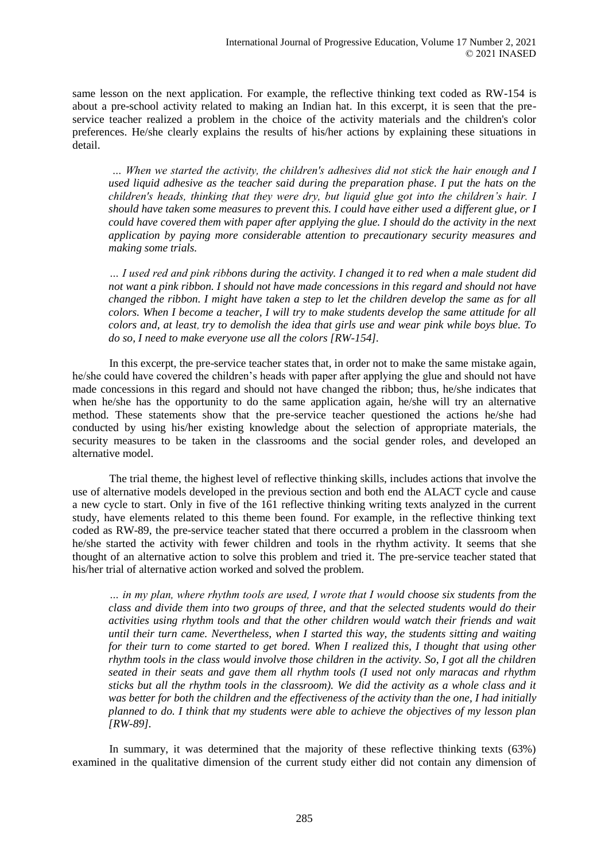same lesson on the next application. For example, the reflective thinking text coded as RW-154 is about a pre-school activity related to making an Indian hat. In this excerpt, it is seen that the preservice teacher realized a problem in the choice of the activity materials and the children's color preferences. He/she clearly explains the results of his/her actions by explaining these situations in detail.

*… When we started the activity, the children's adhesives did not stick the hair enough and I used liquid adhesive as the teacher said during the preparation phase. I put the hats on the children's heads, thinking that they were dry, but liquid glue got into the children's hair. I should have taken some measures to prevent this. I could have either used a different glue, or I could have covered them with paper after applying the glue. I should do the activity in the next application by paying more considerable attention to precautionary security measures and making some trials.* 

*… I used red and pink ribbons during the activity. I changed it to red when a male student did not want a pink ribbon. I should not have made concessions in this regard and should not have changed the ribbon. I might have taken a step to let the children develop the same as for all colors. When I become a teacher, I will try to make students develop the same attitude for all colors and, at least, try to demolish the idea that girls use and wear pink while boys blue. To do so, I need to make everyone use all the colors [RW-154].*

In this excerpt, the pre-service teacher states that, in order not to make the same mistake again, he/she could have covered the children's heads with paper after applying the glue and should not have made concessions in this regard and should not have changed the ribbon; thus, he/she indicates that when he/she has the opportunity to do the same application again, he/she will try an alternative method. These statements show that the pre-service teacher questioned the actions he/she had conducted by using his/her existing knowledge about the selection of appropriate materials, the security measures to be taken in the classrooms and the social gender roles, and developed an alternative model.

The trial theme, the highest level of reflective thinking skills, includes actions that involve the use of alternative models developed in the previous section and both end the ALACT cycle and cause a new cycle to start. Only in five of the 161 reflective thinking writing texts analyzed in the current study, have elements related to this theme been found. For example, in the reflective thinking text coded as RW-89, the pre-service teacher stated that there occurred a problem in the classroom when he/she started the activity with fewer children and tools in the rhythm activity. It seems that she thought of an alternative action to solve this problem and tried it. The pre-service teacher stated that his/her trial of alternative action worked and solved the problem.

*… in my plan, where rhythm tools are used, I wrote that I would choose six students from the class and divide them into two groups of three, and that the selected students would do their activities using rhythm tools and that the other children would watch their friends and wait until their turn came. Nevertheless, when I started this way, the students sitting and waiting for their turn to come started to get bored. When I realized this, I thought that using other rhythm tools in the class would involve those children in the activity. So, I got all the children seated in their seats and gave them all rhythm tools (I used not only maracas and rhythm sticks but all the rhythm tools in the classroom). We did the activity as a whole class and it was better for both the children and the effectiveness of the activity than the one, I had initially planned to do. I think that my students were able to achieve the objectives of my lesson plan [RW-89].*

In summary, it was determined that the majority of these reflective thinking texts (63%) examined in the qualitative dimension of the current study either did not contain any dimension of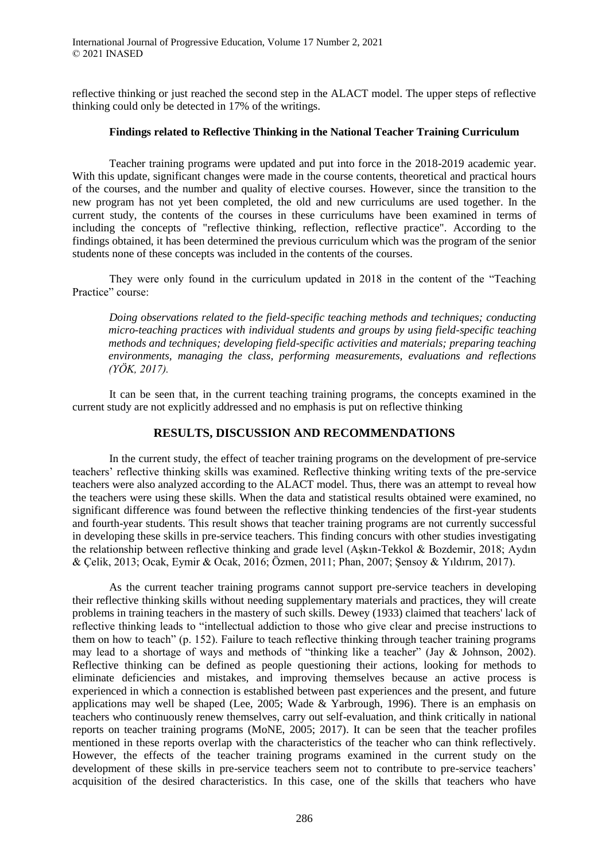reflective thinking or just reached the second step in the ALACT model. The upper steps of reflective thinking could only be detected in 17% of the writings.

## **Findings related to Reflective Thinking in the National Teacher Training Curriculum**

Teacher training programs were updated and put into force in the 2018-2019 academic year. With this update, significant changes were made in the course contents, theoretical and practical hours of the courses, and the number and quality of elective courses. However, since the transition to the new program has not yet been completed, the old and new curriculums are used together. In the current study, the contents of the courses in these curriculums have been examined in terms of including the concepts of "reflective thinking, reflection, reflective practice". According to the findings obtained, it has been determined the previous curriculum which was the program of the senior students none of these concepts was included in the contents of the courses.

They were only found in the curriculum updated in 2018 in the content of the "Teaching Practice" course:

*Doing observations related to the field-specific teaching methods and techniques; conducting micro-teaching practices with individual students and groups by using field-specific teaching methods and techniques; developing field-specific activities and materials; preparing teaching environments, managing the class, performing measurements, evaluations and reflections (YÖK, 2017).*

It can be seen that, in the current teaching training programs, the concepts examined in the current study are not explicitly addressed and no emphasis is put on reflective thinking

# **RESULTS, DISCUSSION AND RECOMMENDATIONS**

In the current study, the effect of teacher training programs on the development of pre-service teachers' reflective thinking skills was examined. Reflective thinking writing texts of the pre-service teachers were also analyzed according to the ALACT model. Thus, there was an attempt to reveal how the teachers were using these skills. When the data and statistical results obtained were examined, no significant difference was found between the reflective thinking tendencies of the first-year students and fourth-year students. This result shows that teacher training programs are not currently successful in developing these skills in pre-service teachers. This finding concurs with other studies investigating the relationship between reflective thinking and grade level (Aşkın-Tekkol & Bozdemir, 2018; Aydın & Çelik, 2013; Ocak, Eymir & Ocak, 2016; Özmen, 2011; Phan, 2007; Şensoy & Yıldırım, 2017).

As the current teacher training programs cannot support pre-service teachers in developing their reflective thinking skills without needing supplementary materials and practices, they will create problems in training teachers in the mastery of such skills. Dewey (1933) claimed that teachers' lack of reflective thinking leads to "intellectual addiction to those who give clear and precise instructions to them on how to teach" (p. 152). Failure to teach reflective thinking through teacher training programs may lead to a shortage of ways and methods of "thinking like a teacher" (Jay & Johnson, 2002). Reflective thinking can be defined as people questioning their actions, looking for methods to eliminate deficiencies and mistakes, and improving themselves because an active process is experienced in which a connection is established between past experiences and the present, and future applications may well be shaped (Lee, 2005; Wade  $&$  Yarbrough, 1996). There is an emphasis on teachers who continuously renew themselves, carry out self-evaluation, and think critically in national reports on teacher training programs (MoNE, 2005; 2017). It can be seen that the teacher profiles mentioned in these reports overlap with the characteristics of the teacher who can think reflectively. However, the effects of the teacher training programs examined in the current study on the development of these skills in pre-service teachers seem not to contribute to pre-service teachers' acquisition of the desired characteristics. In this case, one of the skills that teachers who have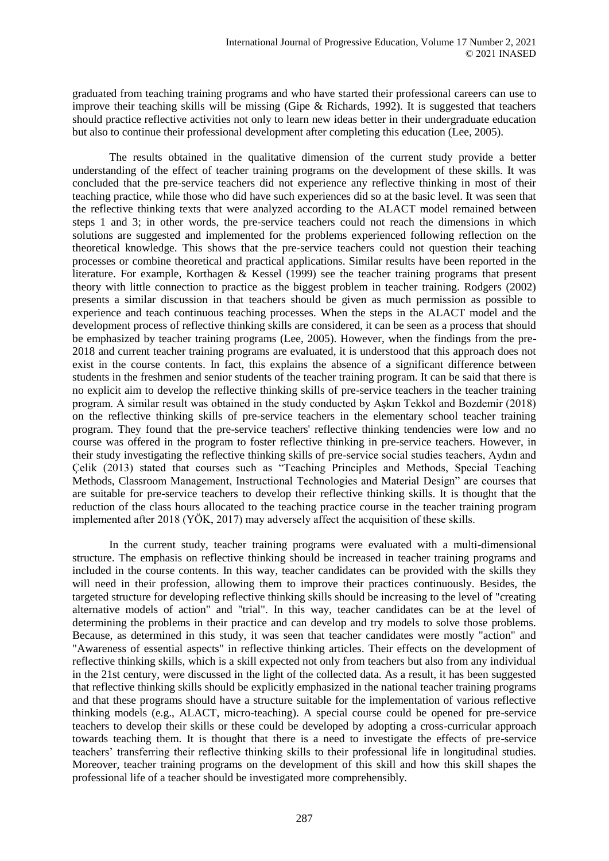graduated from teaching training programs and who have started their professional careers can use to improve their teaching skills will be missing (Gipe & Richards, 1992). It is suggested that teachers should practice reflective activities not only to learn new ideas better in their undergraduate education but also to continue their professional development after completing this education (Lee, 2005).

The results obtained in the qualitative dimension of the current study provide a better understanding of the effect of teacher training programs on the development of these skills. It was concluded that the pre-service teachers did not experience any reflective thinking in most of their teaching practice, while those who did have such experiences did so at the basic level. It was seen that the reflective thinking texts that were analyzed according to the ALACT model remained between steps 1 and 3; in other words, the pre-service teachers could not reach the dimensions in which solutions are suggested and implemented for the problems experienced following reflection on the theoretical knowledge. This shows that the pre-service teachers could not question their teaching processes or combine theoretical and practical applications. Similar results have been reported in the literature. For example, Korthagen & Kessel (1999) see the teacher training programs that present theory with little connection to practice as the biggest problem in teacher training. Rodgers (2002) presents a similar discussion in that teachers should be given as much permission as possible to experience and teach continuous teaching processes. When the steps in the ALACT model and the development process of reflective thinking skills are considered, it can be seen as a process that should be emphasized by teacher training programs (Lee, 2005). However, when the findings from the pre-2018 and current teacher training programs are evaluated, it is understood that this approach does not exist in the course contents. In fact, this explains the absence of a significant difference between students in the freshmen and senior students of the teacher training program. It can be said that there is no explicit aim to develop the reflective thinking skills of pre-service teachers in the teacher training program. A similar result was obtained in the study conducted by Aşkın Tekkol and Bozdemir (2018) on the reflective thinking skills of pre-service teachers in the elementary school teacher training program. They found that the pre-service teachers' reflective thinking tendencies were low and no course was offered in the program to foster reflective thinking in pre-service teachers. However, in their study investigating the reflective thinking skills of pre-service social studies teachers, Aydın and Çelik (2013) stated that courses such as "Teaching Principles and Methods, Special Teaching Methods, Classroom Management, Instructional Technologies and Material Design" are courses that are suitable for pre-service teachers to develop their reflective thinking skills. It is thought that the reduction of the class hours allocated to the teaching practice course in the teacher training program implemented after 2018 (YÖK, 2017) may adversely affect the acquisition of these skills.

In the current study, teacher training programs were evaluated with a multi-dimensional structure. The emphasis on reflective thinking should be increased in teacher training programs and included in the course contents. In this way, teacher candidates can be provided with the skills they will need in their profession, allowing them to improve their practices continuously. Besides, the targeted structure for developing reflective thinking skills should be increasing to the level of "creating alternative models of action" and "trial". In this way, teacher candidates can be at the level of determining the problems in their practice and can develop and try models to solve those problems. Because, as determined in this study, it was seen that teacher candidates were mostly "action" and "Awareness of essential aspects" in reflective thinking articles. Their effects on the development of reflective thinking skills, which is a skill expected not only from teachers but also from any individual in the 21st century, were discussed in the light of the collected data. As a result, it has been suggested that reflective thinking skills should be explicitly emphasized in the national teacher training programs and that these programs should have a structure suitable for the implementation of various reflective thinking models (e.g., ALACT, micro-teaching). A special course could be opened for pre-service teachers to develop their skills or these could be developed by adopting a cross-curricular approach towards teaching them. It is thought that there is a need to investigate the effects of pre-service teachers' transferring their reflective thinking skills to their professional life in longitudinal studies. Moreover, teacher training programs on the development of this skill and how this skill shapes the professional life of a teacher should be investigated more comprehensibly.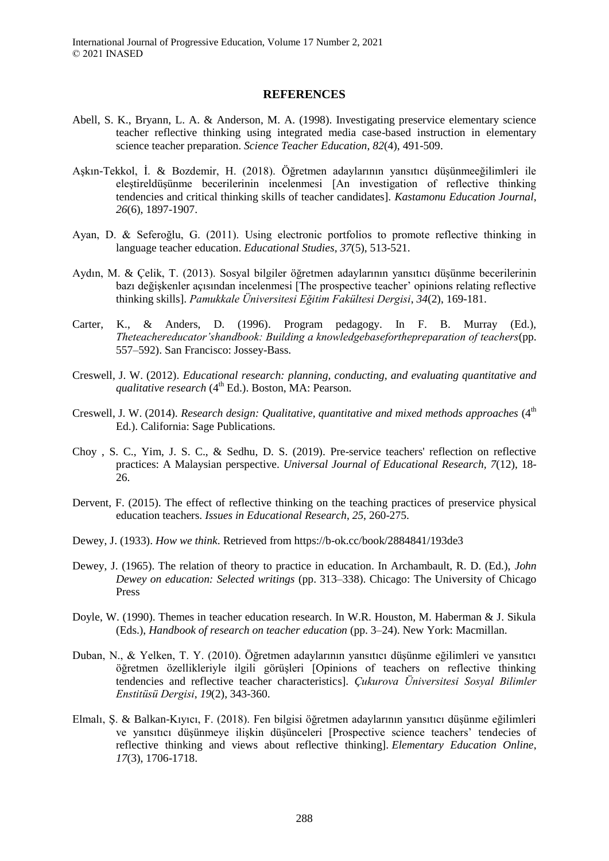#### **REFERENCES**

- Abell, S. K., Bryann, L. A. & Anderson, M. A. (1998). Investigating preservice elementary science teacher reflective thinking using integrated media case-based instruction in elementary science teacher preparation. *Science Teacher Education*, *82*(4), 491-509.
- Aşkın-Tekkol, İ. & Bozdemir, H. (2018). Öğretmen adaylarının yansıtıcı düşünmeeğilimleri ile eleştireldüşünme becerilerinin incelenmesi [An investigation of reflective thinking tendencies and critical thinking skills of teacher candidates]. *Kastamonu Education Journal*, *26*(6), 1897-1907.
- Ayan, D. & Seferoğlu, G. (2011). Using electronic portfolios to promote reflective thinking in language teacher education. *Educational Studies*, *37*(5), 513-521.
- Aydın, M. & Çelik, T. (2013). Sosyal bilgiler öğretmen adaylarının yansıtıcı düşünme becerilerinin bazı değişkenler açısından incelenmesi [The prospective teacher' opinions relating reflective thinking skills]. *Pamukkale Üniversitesi Eğitim Fakültesi Dergisi*, *34*(2), 169-181.
- Carter, K., & Anders, D. (1996). Program pedagogy. In F. B. Murray (Ed.), *Theteachereducator'shandbook: Building a knowledgebaseforthepreparation of teachers*(pp. 557–592). San Francisco: Jossey-Bass.
- Creswell, J. W. (2012). *Educational research: planning, conducting, and evaluating quantitative and qualitative research* (4<sup>th</sup> Ed.). Boston, MA: Pearson.
- Creswell, J. W. (2014). *Research design: Qualitative, quantitative and mixed methods approaches* (4<sup>th</sup>) Ed.). California: Sage Publications.
- Choy , S. C., Yim, J. S. C., & Sedhu, D. S. (2019). Pre-service teachers' reflection on reflective practices: A Malaysian perspective. *Universal Journal of Educational Research, 7*(12), 18- 26.
- Dervent, F. (2015). The effect of reflective thinking on the teaching practices of preservice physical education teachers. *Issues in Educational Research*, *25*, 260-275.
- Dewey, J. (1933). *How we think*. Retrieved from https://b-ok.cc/book/2884841/193de3
- Dewey, J. (1965). The relation of theory to practice in education. In Archambault, R. D. (Ed.), *John Dewey on education: Selected writings* (pp. 313–338). Chicago: The University of Chicago Press
- Doyle, W. (1990). Themes in teacher education research. In W.R. Houston, M. Haberman & J. Sikula (Eds.), *Handbook of research on teacher education* (pp. 3–24). New York: Macmillan.
- Duban, N., & Yelken, T. Y. (2010). Öğretmen adaylarının yansıtıcı düşünme eğilimleri ve yansıtıcı öğretmen özellikleriyle ilgili görüşleri [Opinions of teachers on reflective thinking tendencies and reflective teacher characteristics]. *Çukurova Üniversitesi Sosyal Bilimler Enstitüsü Dergisi*, *19*(2), 343-360.
- Elmalı, Ş. & Balkan-Kıyıcı, F. (2018). Fen bilgisi öğretmen adaylarının yansıtıcı düşünme eğilimleri ve yansıtıcı düşünmeye ilişkin düşünceleri [Prospective science teachers' tendecies of reflective thinking and views about reflective thinking]. *Elementary Education Online*, *17*(3), 1706-1718.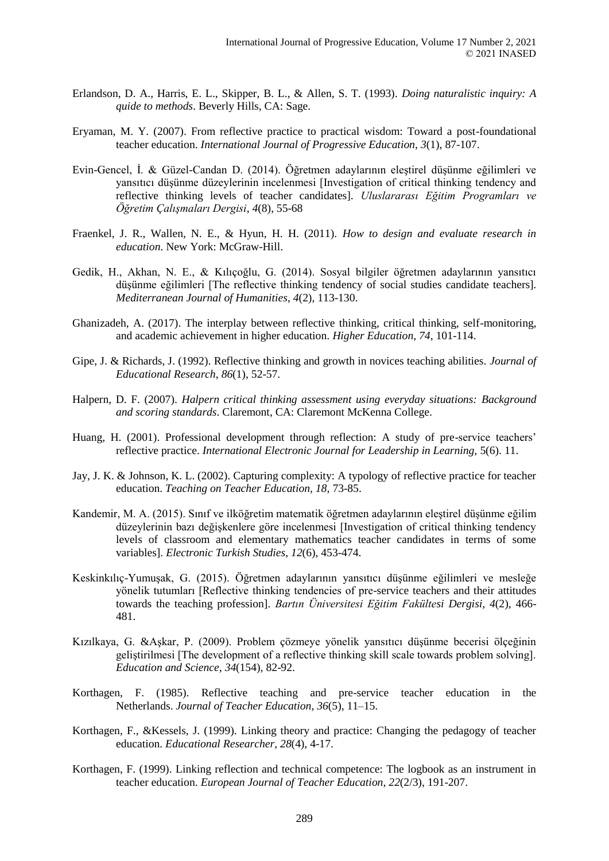- Erlandson, D. A., Harris, E. L., Skipper, B. L., & Allen, S. T. (1993). *Doing naturalistic inquiry: A quide to methods*. Beverly Hills, CA: Sage.
- Eryaman, M. Y. (2007). From reflective practice to practical wisdom: Toward a post-foundational teacher education. *International Journal of Progressive Education*, *3*(1), 87-107.
- Evin-Gencel, İ. & Güzel-Candan D. (2014). Öğretmen adaylarının eleştirel düşünme eğilimleri ve yansıtıcı düşünme düzeylerinin incelenmesi [Investigation of critical thinking tendency and reflective thinking levels of teacher candidates]. *Uluslararası Eğitim Programları ve Öğretim Çalışmaları Dergisi*, *4*(8), 55-68
- Fraenkel, J. R., Wallen, N. E., & Hyun, H. H. (2011). *How to design and evaluate research in education*. New York: McGraw-Hill.
- Gedik, H., Akhan, N. E., & Kılıçoğlu, G. (2014). Sosyal bilgiler öğretmen adaylarının yansıtıcı düşünme eğilimleri [The reflective thinking tendency of social studies candidate teachers]. *Mediterranean Journal of Humanities*, *4*(2), 113-130.
- Ghanizadeh, A. (2017). The interplay between reflective thinking, critical thinking, self-monitoring, and academic achievement in higher education. *Higher Education*, *74*, 101-114.
- Gipe, J. & Richards, J. (1992). Reflective thinking and growth in novices teaching abilities. *Journal of Educational Research*, *86*(1), 52-57.
- Halpern, D. F. (2007). *Halpern critical thinking assessment using everyday situations: Background and scoring standards*. Claremont, CA: Claremont McKenna College.
- Huang, H. (2001). Professional development through reflection: A study of pre-service teachers' reflective practice. *International Electronic Journal for Leadership in Learning,* 5(6). 11.
- Jay, J. K. & Johnson, K. L. (2002). Capturing complexity: A typology of reflective practice for teacher education. *Teaching on Teacher Education, 18*, 73-85.
- Kandemir, M. A. (2015). Sınıf ve ilköğretim matematik öğretmen adaylarının eleştirel düşünme eğilim düzeylerinin bazı değişkenlere göre incelenmesi [Investigation of critical thinking tendency levels of classroom and elementary mathematics teacher candidates in terms of some variables]. *Electronic Turkish Studies*, *12*(6), 453-474.
- Keskinkılıç-Yumuşak, G. (2015). Öğretmen adaylarının yansıtıcı düşünme eğilimleri ve mesleğe yönelik tutumları [Reflective thinking tendencies of pre-service teachers and their attitudes towards the teaching profession]. *Bartın Üniversitesi Eğitim Fakültesi Dergisi*, *4*(2), 466- 481.
- Kızılkaya, G. &Aşkar, P. (2009). Problem çözmeye yönelik yansıtıcı düşünme becerisi ölçeğinin geliştirilmesi [The development of a reflective thinking skill scale towards problem solving]. *Education and Science*, *34*(154), 82-92.
- Korthagen, F. (1985). Reflective teaching and pre-service teacher education in the Netherlands. *Journal of Teacher Education*, *36*(5), 11–15.
- Korthagen, F., &Kessels, J. (1999). Linking theory and practice: Changing the pedagogy of teacher education. *Educational Researcher*, *28*(4), 4-17.
- Korthagen, F. (1999). Linking reflection and technical competence: The logbook as an instrument in teacher education. *European Journal of Teacher Education*, *22*(2/3), 191-207.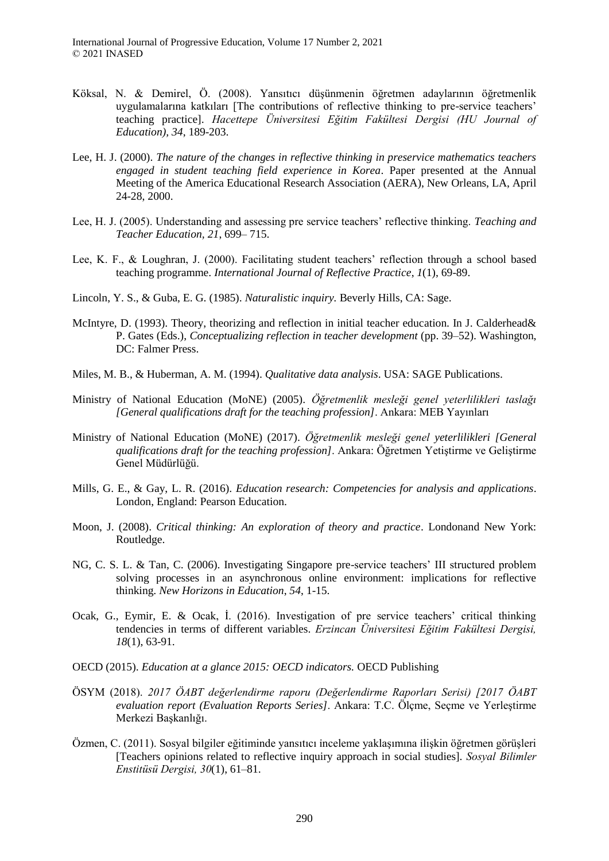- Köksal, N. & Demirel, Ö. (2008). Yansıtıcı düşünmenin öğretmen adaylarının öğretmenlik uygulamalarına katkıları [The contributions of reflective thinking to pre-service teachers' teaching practice]. *Hacettepe Üniversitesi Eğitim Fakültesi Dergisi (HU Journal of Education), 34*, 189-203.
- Lee, H. J. (2000). *The nature of the changes in reflective thinking in preservice mathematics teachers engaged in student teaching field experience in Korea*. Paper presented at the Annual Meeting of the America Educational Research Association (AERA), New Orleans, LA, April 24-28, 2000.
- Lee, H. J. (2005). Understanding and assessing pre service teachers' reflective thinking. *Teaching and Teacher Education, 21*, 699– 715.
- Lee, K. F., & Loughran, J. (2000). Facilitating student teachers' reflection through a school based teaching programme. *International Journal of Reflective Practice*, *1*(1), 69-89.
- Lincoln, Y. S., & Guba, E. G. (1985). *Naturalistic inquiry.* Beverly Hills, CA: Sage.
- McIntyre, D. (1993). Theory, theorizing and reflection in initial teacher education. In J. Calderhead& P. Gates (Eds.), *Conceptualizing reflection in teacher development* (pp. 39–52). Washington, DC: Falmer Press.
- Miles, M. B., & Huberman, A. M. (1994). *Qualitative data analysis*. USA: SAGE Publications.
- Ministry of National Education (MoNE) (2005). *Öğretmenlik mesleği genel yeterlilikleri taslağı [General qualifications draft for the teaching profession]*. Ankara: MEB Yayınları
- Ministry of National Education (MoNE) (2017). *Öğretmenlik mesleği genel yeterlilikleri [General qualifications draft for the teaching profession]*. Ankara: Öğretmen Yetiştirme ve Geliştirme Genel Müdürlüğü.
- Mills, G. E., & Gay, L. R. (2016). *Education research: Competencies for analysis and applications*. London, England: Pearson Education.
- Moon, J. (2008). *Critical thinking: An exploration of theory and practice*. Londonand New York: Routledge.
- NG, C. S. L. & Tan, C. (2006). Investigating Singapore pre-service teachers' III structured problem solving processes in an asynchronous online environment: implications for reflective thinking. *New Horizons in Education*, *54*, 1-15.
- Ocak, G., Eymir, E. & Ocak, İ. (2016). Investigation of pre service teachers' critical thinking tendencies in terms of different variables. *Erzincan Üniversitesi Eğitim Fakültesi Dergisi, 18*(1), 63-91.
- OECD (2015). *Education at a glance 2015: OECD indicators.* OECD Publishing
- ÖSYM (2018). *2017 ÖABT değerlendirme raporu (Değerlendirme Raporları Serisi) [2017 ÖABT evaluation report (Evaluation Reports Series]*. Ankara: T.C. Ölçme, Seçme ve Yerleştirme Merkezi Başkanlığı.
- Özmen, C. (2011). Sosyal bilgiler eğitiminde yansıtıcı ı nceleme yaklaşımına ı lişkin öğretmen görüşleri [Teachers opinions related to reflective inquiry approach in social studies]. *Sosyal Bilimler Enstitüsü Dergisi, 30*(1), 61–81.